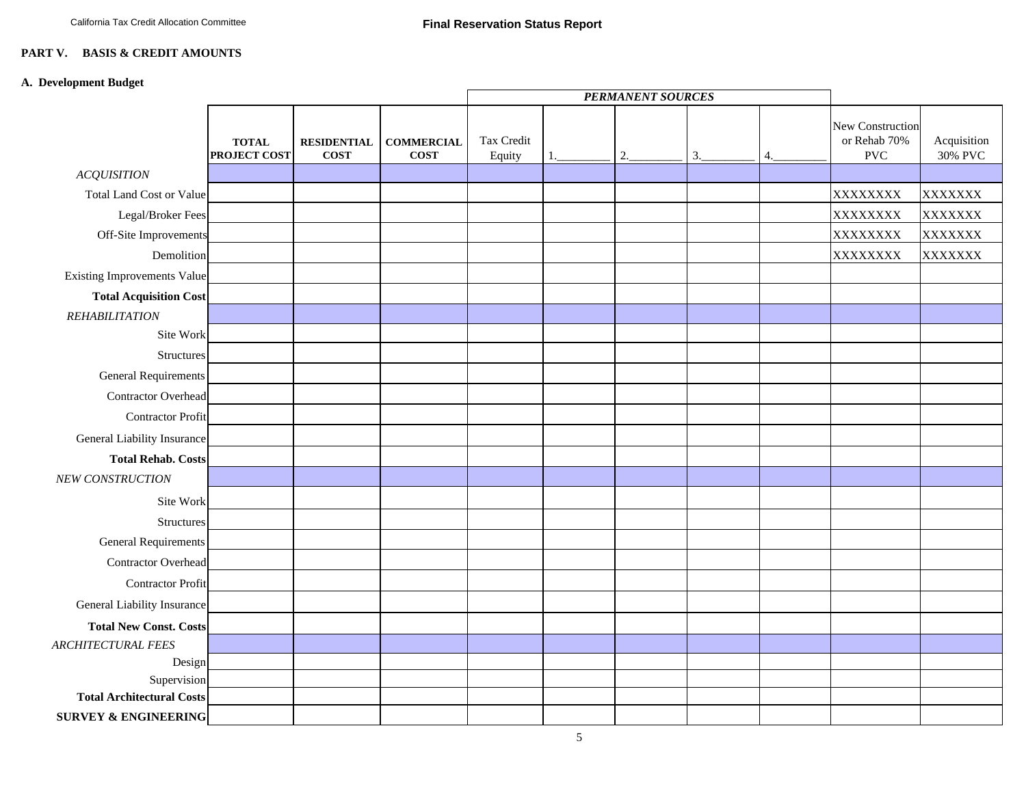## **PART V. BASIS & CREDIT AMOUNTS**

## **A. Development Budget**

|                                    |                                     |                                   |                                  | <b>PERMANENT SOURCES</b> |  |    |    |    |                                                |                        |
|------------------------------------|-------------------------------------|-----------------------------------|----------------------------------|--------------------------|--|----|----|----|------------------------------------------------|------------------------|
|                                    | <b>TOTAL</b><br><b>PROJECT COST</b> | <b>RESIDENTIAL</b><br><b>COST</b> | <b>COMMERCIAL</b><br><b>COST</b> | Tax Credit<br>Equity     |  | 2. | 3. | 4. | New Construction<br>or Rehab 70%<br><b>PVC</b> | Acquisition<br>30% PVC |
| <b>ACQUISITION</b>                 |                                     |                                   |                                  |                          |  |    |    |    |                                                |                        |
| <b>Total Land Cost or Value</b>    |                                     |                                   |                                  |                          |  |    |    |    | XXXXXXXX                                       | <b>XXXXXXX</b>         |
| Legal/Broker Fees                  |                                     |                                   |                                  |                          |  |    |    |    | XXXXXXXX                                       | <b>XXXXXXX</b>         |
| Off-Site Improvements              |                                     |                                   |                                  |                          |  |    |    |    | XXXXXXXX                                       | XXXXXXX                |
| Demolition                         |                                     |                                   |                                  |                          |  |    |    |    | XXXXXXXX                                       | XXXXXXX                |
| <b>Existing Improvements Value</b> |                                     |                                   |                                  |                          |  |    |    |    |                                                |                        |
| <b>Total Acquisition Cost</b>      |                                     |                                   |                                  |                          |  |    |    |    |                                                |                        |
| <b>REHABILITATION</b>              |                                     |                                   |                                  |                          |  |    |    |    |                                                |                        |
| Site Work                          |                                     |                                   |                                  |                          |  |    |    |    |                                                |                        |
| Structures                         |                                     |                                   |                                  |                          |  |    |    |    |                                                |                        |
| <b>General Requirements</b>        |                                     |                                   |                                  |                          |  |    |    |    |                                                |                        |
| <b>Contractor Overhead</b>         |                                     |                                   |                                  |                          |  |    |    |    |                                                |                        |
| <b>Contractor Profit</b>           |                                     |                                   |                                  |                          |  |    |    |    |                                                |                        |
| General Liability Insurance        |                                     |                                   |                                  |                          |  |    |    |    |                                                |                        |
| <b>Total Rehab. Costs</b>          |                                     |                                   |                                  |                          |  |    |    |    |                                                |                        |
| NEW CONSTRUCTION                   |                                     |                                   |                                  |                          |  |    |    |    |                                                |                        |
| Site Work                          |                                     |                                   |                                  |                          |  |    |    |    |                                                |                        |
| Structures                         |                                     |                                   |                                  |                          |  |    |    |    |                                                |                        |
| <b>General Requirements</b>        |                                     |                                   |                                  |                          |  |    |    |    |                                                |                        |
| <b>Contractor Overhead</b>         |                                     |                                   |                                  |                          |  |    |    |    |                                                |                        |
| <b>Contractor Profit</b>           |                                     |                                   |                                  |                          |  |    |    |    |                                                |                        |
| General Liability Insurance        |                                     |                                   |                                  |                          |  |    |    |    |                                                |                        |
| <b>Total New Const. Costs</b>      |                                     |                                   |                                  |                          |  |    |    |    |                                                |                        |
| <b>ARCHITECTURAL FEES</b>          |                                     |                                   |                                  |                          |  |    |    |    |                                                |                        |
| Design                             |                                     |                                   |                                  |                          |  |    |    |    |                                                |                        |
| Supervision                        |                                     |                                   |                                  |                          |  |    |    |    |                                                |                        |
| <b>Total Architectural Costs</b>   |                                     |                                   |                                  |                          |  |    |    |    |                                                |                        |
| <b>SURVEY &amp; ENGINEERING</b>    |                                     |                                   |                                  |                          |  |    |    |    |                                                |                        |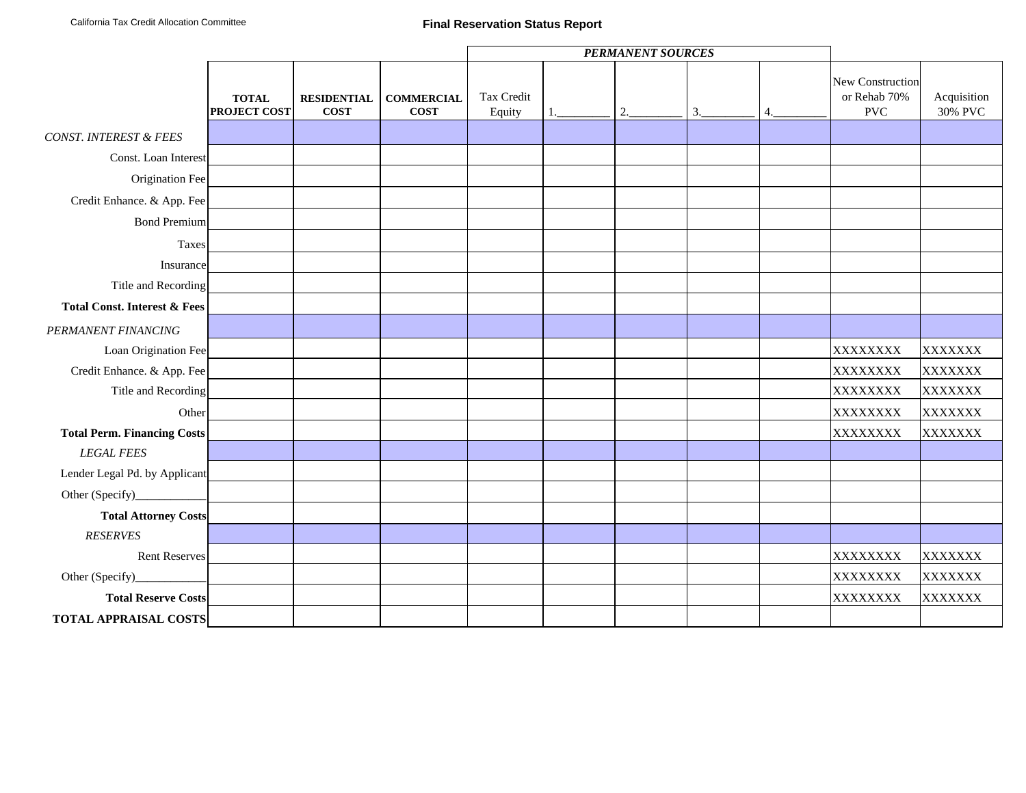|                                         |                                     |                                   |                                  | <b>PERMANENT SOURCES</b> |  |    |    |    |                                                |                        |
|-----------------------------------------|-------------------------------------|-----------------------------------|----------------------------------|--------------------------|--|----|----|----|------------------------------------------------|------------------------|
|                                         | <b>TOTAL</b><br><b>PROJECT COST</b> | <b>RESIDENTIAL</b><br><b>COST</b> | <b>COMMERCIAL</b><br><b>COST</b> | Tax Credit<br>Equity     |  | 2. | 3. | 4. | New Construction<br>or Rehab 70%<br><b>PVC</b> | Acquisition<br>30% PVC |
| <b>CONST. INTEREST &amp; FEES</b>       |                                     |                                   |                                  |                          |  |    |    |    |                                                |                        |
| Const. Loan Interest                    |                                     |                                   |                                  |                          |  |    |    |    |                                                |                        |
| Origination Fee                         |                                     |                                   |                                  |                          |  |    |    |    |                                                |                        |
| Credit Enhance. & App. Fee              |                                     |                                   |                                  |                          |  |    |    |    |                                                |                        |
| <b>Bond Premium</b>                     |                                     |                                   |                                  |                          |  |    |    |    |                                                |                        |
| Taxes                                   |                                     |                                   |                                  |                          |  |    |    |    |                                                |                        |
| Insurance                               |                                     |                                   |                                  |                          |  |    |    |    |                                                |                        |
| Title and Recording                     |                                     |                                   |                                  |                          |  |    |    |    |                                                |                        |
| <b>Total Const. Interest &amp; Fees</b> |                                     |                                   |                                  |                          |  |    |    |    |                                                |                        |
| PERMANENT FINANCING                     |                                     |                                   |                                  |                          |  |    |    |    |                                                |                        |
| Loan Origination Fee                    |                                     |                                   |                                  |                          |  |    |    |    | XXXXXXXX                                       | XXXXXXX                |
| Credit Enhance. & App. Fee              |                                     |                                   |                                  |                          |  |    |    |    | XXXXXXXX                                       | XXXXXXX                |
| Title and Recording                     |                                     |                                   |                                  |                          |  |    |    |    | XXXXXXXX                                       | XXXXXXX                |
| Other                                   |                                     |                                   |                                  |                          |  |    |    |    | XXXXXXXX                                       | XXXXXXX                |
| <b>Total Perm. Financing Costs</b>      |                                     |                                   |                                  |                          |  |    |    |    | XXXXXXXX                                       | XXXXXXX                |
| <b>LEGAL FEES</b>                       |                                     |                                   |                                  |                          |  |    |    |    |                                                |                        |
| Lender Legal Pd. by Applicant           |                                     |                                   |                                  |                          |  |    |    |    |                                                |                        |
| Other (Specify)_                        |                                     |                                   |                                  |                          |  |    |    |    |                                                |                        |
| <b>Total Attorney Costs</b>             |                                     |                                   |                                  |                          |  |    |    |    |                                                |                        |
| <b>RESERVES</b>                         |                                     |                                   |                                  |                          |  |    |    |    |                                                |                        |
| Rent Reserves                           |                                     |                                   |                                  |                          |  |    |    |    | XXXXXXXX                                       | XXXXXXX                |
| Other (Specify)_                        |                                     |                                   |                                  |                          |  |    |    |    | XXXXXXXX                                       | XXXXXXX                |
| <b>Total Reserve Costs</b>              |                                     |                                   |                                  |                          |  |    |    |    | XXXXXXXX                                       | XXXXXXX                |
| <b>TOTAL APPRAISAL COSTS</b>            |                                     |                                   |                                  |                          |  |    |    |    |                                                |                        |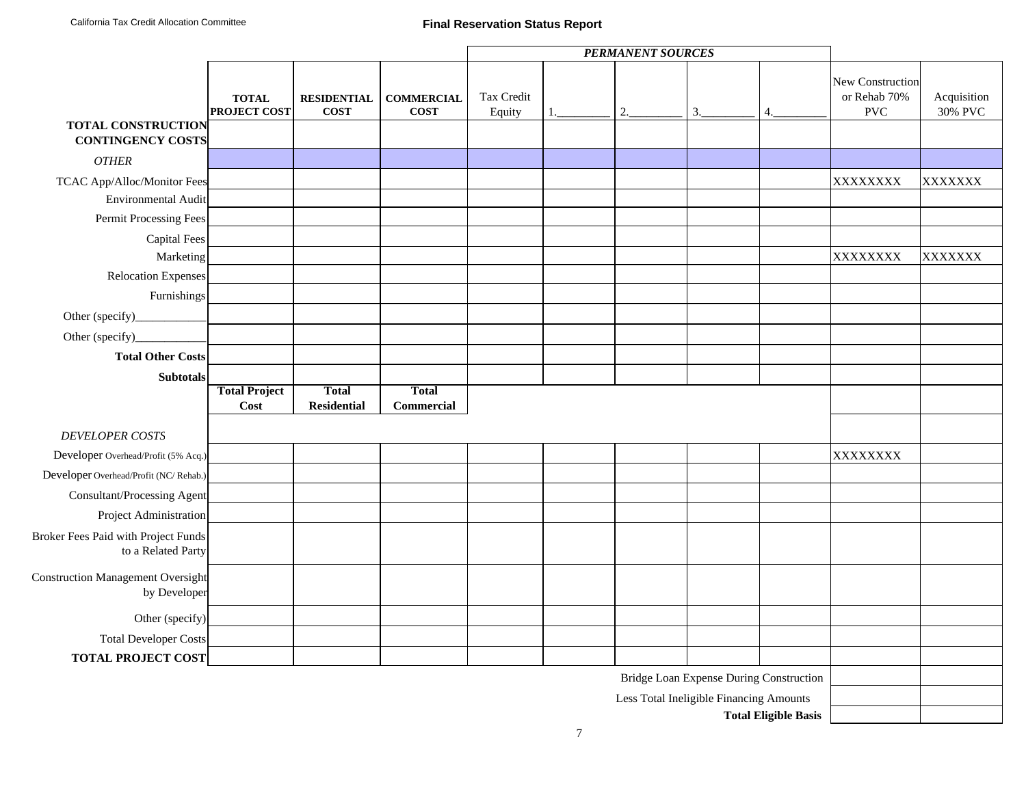## **Final Reservation Status Report**

|                                                                  |                              |                                    |                                  | <b>PERMANENT SOURCES</b> |  |    |                                         |                             |                                                |                        |
|------------------------------------------------------------------|------------------------------|------------------------------------|----------------------------------|--------------------------|--|----|-----------------------------------------|-----------------------------|------------------------------------------------|------------------------|
|                                                                  | <b>TOTAL</b><br>PROJECT COST | <b>RESIDENTIAL</b><br><b>COST</b>  | <b>COMMERCIAL</b><br><b>COST</b> | Tax Credit<br>Equity     |  | 2. | 3.                                      | 4.                          | New Construction<br>or Rehab 70%<br><b>PVC</b> | Acquisition<br>30% PVC |
| <b>TOTAL CONSTRUCTION</b><br><b>CONTINGENCY COSTS</b>            |                              |                                    |                                  |                          |  |    |                                         |                             |                                                |                        |
| <b>OTHER</b>                                                     |                              |                                    |                                  |                          |  |    |                                         |                             |                                                |                        |
| TCAC App/Alloc/Monitor Fees                                      |                              |                                    |                                  |                          |  |    |                                         |                             | XXXXXXXX                                       | XXXXXXX                |
| <b>Environmental Audit</b>                                       |                              |                                    |                                  |                          |  |    |                                         |                             |                                                |                        |
| Permit Processing Fees                                           |                              |                                    |                                  |                          |  |    |                                         |                             |                                                |                        |
| <b>Capital Fees</b>                                              |                              |                                    |                                  |                          |  |    |                                         |                             |                                                |                        |
| Marketing                                                        |                              |                                    |                                  |                          |  |    |                                         |                             | XXXXXXXX                                       | XXXXXXX                |
| Relocation Expenses                                              |                              |                                    |                                  |                          |  |    |                                         |                             |                                                |                        |
| Furnishings                                                      |                              |                                    |                                  |                          |  |    |                                         |                             |                                                |                        |
| Other (specify)_                                                 |                              |                                    |                                  |                          |  |    |                                         |                             |                                                |                        |
| Other (specify)                                                  |                              |                                    |                                  |                          |  |    |                                         |                             |                                                |                        |
| <b>Total Other Costs</b>                                         |                              |                                    |                                  |                          |  |    |                                         |                             |                                                |                        |
| <b>Subtotals</b>                                                 |                              |                                    |                                  |                          |  |    |                                         |                             |                                                |                        |
|                                                                  | <b>Total Project</b><br>Cost | <b>Total</b><br><b>Residential</b> | <b>Total</b><br>Commercial       |                          |  |    |                                         |                             |                                                |                        |
| <b>DEVELOPER COSTS</b>                                           |                              |                                    |                                  |                          |  |    |                                         |                             |                                                |                        |
| Developer Overhead/Profit (5% Acq.)                              |                              |                                    |                                  |                          |  |    |                                         |                             | XXXXXXXX                                       |                        |
| Developer Overhead/Profit (NC/Rehab.)                            |                              |                                    |                                  |                          |  |    |                                         |                             |                                                |                        |
| Consultant/Processing Agent                                      |                              |                                    |                                  |                          |  |    |                                         |                             |                                                |                        |
| Project Administration                                           |                              |                                    |                                  |                          |  |    |                                         |                             |                                                |                        |
| <b>Broker Fees Paid with Project Funds</b><br>to a Related Party |                              |                                    |                                  |                          |  |    |                                         |                             |                                                |                        |
| <b>Construction Management Oversight</b><br>by Developer         |                              |                                    |                                  |                          |  |    |                                         |                             |                                                |                        |
| Other (specify)                                                  |                              |                                    |                                  |                          |  |    |                                         |                             |                                                |                        |
| <b>Total Developer Costs</b>                                     |                              |                                    |                                  |                          |  |    |                                         |                             |                                                |                        |
| <b>TOTAL PROJECT COST</b>                                        |                              |                                    |                                  |                          |  |    |                                         |                             |                                                |                        |
|                                                                  |                              |                                    |                                  |                          |  |    | Bridge Loan Expense During Construction |                             |                                                |                        |
|                                                                  |                              |                                    |                                  |                          |  |    | Less Total Ineligible Financing Amounts |                             |                                                |                        |
|                                                                  |                              |                                    |                                  |                          |  |    |                                         | <b>Total Eligible Basis</b> |                                                |                        |